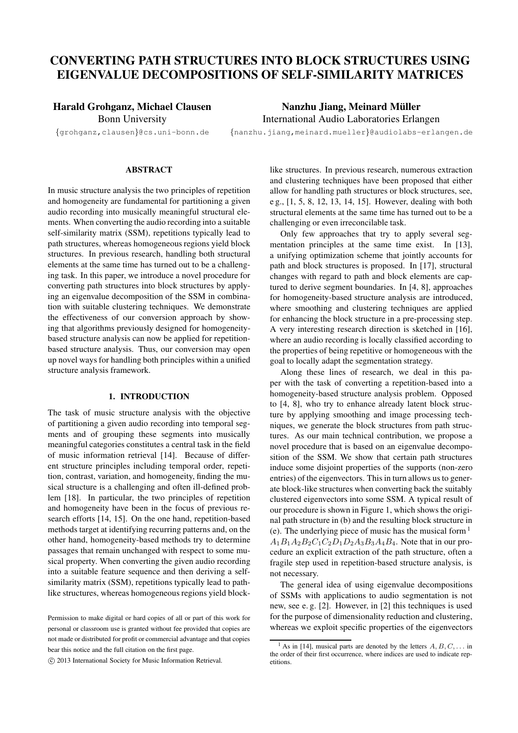# **CONVERTING PATH STRUCTURES INTO BLOCK STRUCTURES USING EIGENVALUE DECOMPOSITIONS OF SELF-SIMILARITY MATRICES**

# **Harald Grohganz, Michael Clausen**

Bonn University

**Nanzhu Jiang, Meinard Muller ¨** International Audio Laboratories Erlangen

{grohganz,clausen}@cs.uni-bonn.de

{nanzhu.jiang,meinard.mueller}@audiolabs-erlangen.de

### **ABSTRACT**

In music structure analysis the two principles of repetition and homogeneity are fundamental for partitioning a given audio recording into musically meaningful structural elements. When converting the audio recording into a suitable self-similarity matrix (SSM), repetitions typically lead to path structures, whereas homogeneous regions yield block structures. In previous research, handling both structural elements at the same time has turned out to be a challenging task. In this paper, we introduce a novel procedure for converting path structures into block structures by applying an eigenvalue decomposition of the SSM in combination with suitable clustering techniques. We demonstrate the effectiveness of our conversion approach by showing that algorithms previously designed for homogeneitybased structure analysis can now be applied for repetitionbased structure analysis. Thus, our conversion may open up novel ways for handling both principles within a unified structure analysis framework.

## **1. INTRODUCTION**

The task of music structure analysis with the objective of partitioning a given audio recording into temporal segments and of grouping these segments into musically meaningful categories constitutes a central task in the field of music information retrieval [14]. Because of different structure principles including temporal order, repetition, contrast, variation, and homogeneity, finding the musical structure is a challenging and often ill-defined problem [18]. In particular, the two principles of repetition and homogeneity have been in the focus of previous research efforts [14, 15]. On the one hand, repetition-based methods target at identifying recurring patterns and, on the other hand, homogeneity-based methods try to determine passages that remain unchanged with respect to some musical property. When converting the given audio recording into a suitable feature sequence and then deriving a selfsimilarity matrix (SSM), repetitions typically lead to pathlike structures, whereas homogeneous regions yield blocklike structures. In previous research, numerous extraction and clustering techniques have been proposed that either allow for handling path structures or block structures, see, e g., [1, 5, 8, 12, 13, 14, 15]. However, dealing with both structural elements at the same time has turned out to be a challenging or even irreconcilable task.

Only few approaches that try to apply several segmentation principles at the same time exist. In [13], a unifying optimization scheme that jointly accounts for path and block structures is proposed. In [17], structural changes with regard to path and block elements are captured to derive segment boundaries. In [4, 8], approaches for homogeneity-based structure analysis are introduced, where smoothing and clustering techniques are applied for enhancing the block structure in a pre-processing step. A very interesting research direction is sketched in [16], where an audio recording is locally classified according to the properties of being repetitive or homogeneous with the goal to locally adapt the segmentation strategy.

Along these lines of research, we deal in this paper with the task of converting a repetition-based into a homogeneity-based structure analysis problem. Opposed to [4, 8], who try to enhance already latent block structure by applying smoothing and image processing techniques, we generate the block structures from path structures. As our main technical contribution, we propose a novel procedure that is based on an eigenvalue decomposition of the SSM. We show that certain path structures induce some disjoint properties of the supports (non-zero entries) of the eigenvectors. This in turn allows us to generate block-like structures when converting back the suitably clustered eigenvectors into some SSM. A typical result of our procedure is shown in Figure 1, which shows the original path structure in (b) and the resulting block structure in (e). The underlying piece of music has the musical form <sup>1</sup>  $A_1B_1A_2B_2C_1C_2D_1D_2A_3B_3A_4B_4$ . Note that in our procedure an explicit extraction of the path structure, often a fragile step used in repetition-based structure analysis, is not necessary.

The general idea of using eigenvalue decompositions of SSMs with applications to audio segmentation is not new, see e. g. [2]. However, in [2] this techniques is used for the purpose of dimensionality reduction and clustering, whereas we exploit specific properties of the eigenvectors

Permission to make digital or hard copies of all or part of this work for personal or classroom use is granted without fee provided that copies are not made or distributed for profit or commercial advantage and that copies bear this notice and the full citation on the first page.

c 2013 International Society for Music Information Retrieval.

<sup>&</sup>lt;sup>1</sup> As in [14], musical parts are denoted by the letters  $A, B, C, \ldots$  in the order of their first occurrence, where indices are used to indicate repetitions.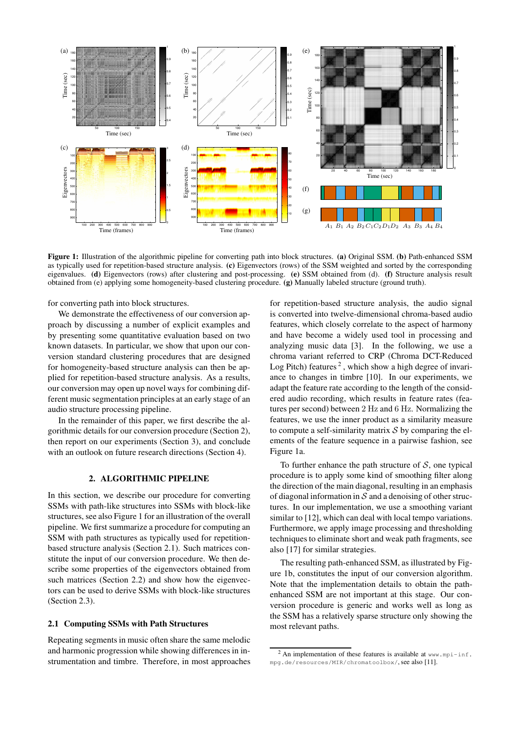

**Figure 1:** Illustration of the algorithmic pipeline for converting path into block structures. **(a)** Original SSM. **(b)** Path-enhanced SSM as typically used for repetition-based structure analysis. **(c)** Eigenvectors (rows) of the SSM weighted and sorted by the corresponding eigenvalues. **(d)** Eigenvectors (rows) after clustering and post-processing. **(e)** SSM obtained from (d). **(f)** Structure analysis result obtained from (e) applying some homogeneity-based clustering procedure. **(g)** Manually labeled structure (ground truth).

for converting path into block structures.

We demonstrate the effectiveness of our conversion approach by discussing a number of explicit examples and by presenting some quantitative evaluation based on two known datasets. In particular, we show that upon our conversion standard clustering procedures that are designed for homogeneity-based structure analysis can then be applied for repetition-based structure analysis. As a results, our conversion may open up novel ways for combining different music segmentation principles at an early stage of an audio structure processing pipeline.

In the remainder of this paper, we first describe the algorithmic details for our conversion procedure (Section 2), then report on our experiments (Section 3), and conclude with an outlook on future research directions (Section 4).

#### **2. ALGORITHMIC PIPELINE**

In this section, we describe our procedure for converting SSMs with path-like structures into SSMs with block-like structures, see also Figure 1 for an illustration of the overall pipeline. We first summarize a procedure for computing an SSM with path structures as typically used for repetitionbased structure analysis (Section 2.1). Such matrices constitute the input of our conversion procedure. We then describe some properties of the eigenvectors obtained from such matrices (Section 2.2) and show how the eigenvectors can be used to derive SSMs with block-like structures (Section 2.3).

# **2.1 Computing SSMs with Path Structures**

Repeating segments in music often share the same melodic and harmonic progression while showing differences in instrumentation and timbre. Therefore, in most approaches for repetition-based structure analysis, the audio signal is converted into twelve-dimensional chroma-based audio features, which closely correlate to the aspect of harmony and have become a widely used tool in processing and analyzing music data [3]. In the following, we use a chroma variant referred to CRP (Chroma DCT-Reduced Log Pitch) features<sup>2</sup>, which show a high degree of invariance to changes in timbre [10]. In our experiments, we adapt the feature rate according to the length of the considered audio recording, which results in feature rates (features per second) between 2 Hz and 6 Hz. Normalizing the features, we use the inner product as a similarity measure to compute a self-similarity matrix  $S$  by comparing the elements of the feature sequence in a pairwise fashion, see Figure 1a.

To further enhance the path structure of  $S$ , one typical procedure is to apply some kind of smoothing filter along the direction of the main diagonal, resulting in an emphasis of diagonal information in  $S$  and a denoising of other structures. In our implementation, we use a smoothing variant similar to [12], which can deal with local tempo variations. Furthermore, we apply image processing and thresholding techniques to eliminate short and weak path fragments, see also [17] for similar strategies.

The resulting path-enhanced SSM, as illustrated by Figure 1b, constitutes the input of our conversion algorithm. Note that the implementation details to obtain the pathenhanced SSM are not important at this stage. Our conversion procedure is generic and works well as long as the SSM has a relatively sparse structure only showing the most relevant paths.

 $2$  An implementation of these features is available at www.mpi-inf. mpg.de/resources/MIR/chromatoolbox/, see also [11].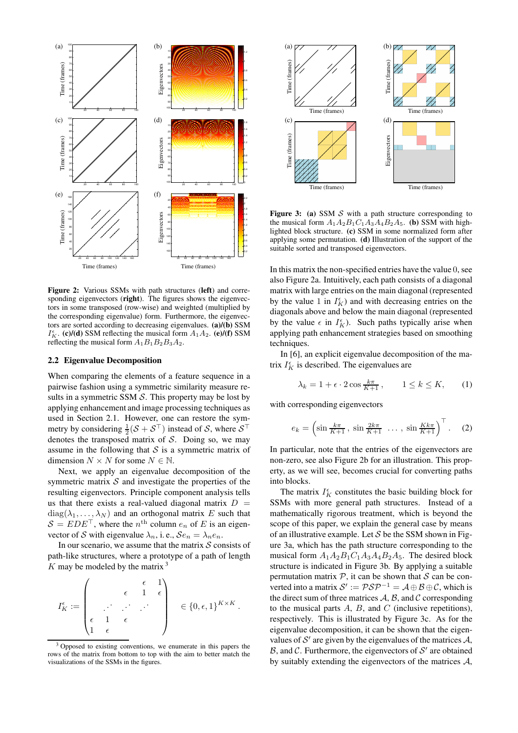

**Figure 2:** Various SSMs with path structures (**left**) and corresponding eigenvectors (**right**). The figures shows the eigenvectors in some transposed (row-wise) and weighted (multiplied by the corresponding eigenvalue) form. Furthermore, the eigenvectors are sorted according to decreasing eigenvalues. **(a)/(b)** SSM  $I_K^{\epsilon}$ . **(c)/(d)** SSM reflecting the musical form  $A_1A_2$ . **(e)/(f)** SSM reflecting the musical form  $A_1B_1B_2B_3A_2$ .

#### **2.2 Eigenvalue Decomposition**

When comparing the elements of a feature sequence in a pairwise fashion using a symmetric similarity measure results in a symmetric SSM  $S$ . This property may be lost by applying enhancement and image processing techniques as used in Section 2.1. However, one can restore the symmetry by considering  $\frac{1}{2}(\mathcal{S} + \mathcal{S}^{\top})$  instead of  $\mathcal{S}$ , where  $\mathcal{S}^{\top}$ denotes the transposed matrix of  $S$ . Doing so, we may assume in the following that  $S$  is a symmetric matrix of dimension  $N \times N$  for some  $N \in \mathbb{N}$ .

Next, we apply an eigenvalue decomposition of the symmetric matrix  $S$  and investigate the properties of the resulting eigenvectors. Principle component analysis tells us that there exists a real-valued diagonal matrix  $D =$  $diag(\lambda_1, \ldots, \lambda_N)$  and an orthogonal matrix E such that  $S = EDE^{\top}$ , where the  $n^{\text{th}}$  column  $e_n$  of E is an eigenvector of S with eigenvalue  $\lambda_n$ , i.e.,  $\mathcal{S}e_n = \lambda_n e_n$ .

In our scenario, we assume that the matrix  $S$  consists of path-like structures, where a prototype of a path of length  $K$  may be modeled by the matrix  $3$ 

$$
I_K^\epsilon:=\left(\begin{array}{cccc} & & \epsilon & 1 \\ & \epsilon & 1 & \epsilon \\ & \cdot & \cdot & \cdot \\ \epsilon & 1 & \epsilon & \\ 1 & \epsilon & \end{array}\right)\quad\in\{0,\epsilon,1\}^{K\times K}\,.
$$





Figure 3: (a) SSM S with a path structure corresponding to the musical form  $A_1A_2B_1C_1A_3A_4B_2A_5$ . **(b)** SSM with highlighted block structure. **(c)** SSM in some normalized form after applying some permutation. **(d)** Illustration of the support of the suitable sorted and transposed eigenvectors.

In this matrix the non-specified entries have the value 0, see also Figure 2a. Intuitively, each path consists of a diagonal matrix with large entries on the main diagonal (represented by the value 1 in  $I_K^{\epsilon}$ ) and with decreasing entries on the diagonals above and below the main diagonal (represented by the value  $\epsilon$  in  $I_K^{\epsilon}$ ). Such paths typically arise when applying path enhancement strategies based on smoothing techniques.

In [6], an explicit eigenvalue decomposition of the matrix  $I_K^{\epsilon}$  is described. The eigenvalues are

$$
\lambda_k = 1 + \epsilon \cdot 2 \cos \frac{k\pi}{K+1}, \qquad 1 \le k \le K,\tag{1}
$$

with corresponding eigenvectors

$$
e_k = \left(\sin\frac{k\pi}{K+1},\ \sin\frac{2k\pi}{K+1}\ \dots,\ \sin\frac{Kk\pi}{K+1}\right)^\top. \tag{2}
$$

In particular, note that the entries of the eigenvectors are non-zero, see also Figure 2b for an illustration. This property, as we will see, becomes crucial for converting paths into blocks.

The matrix  $I_K^{\epsilon}$  constitutes the basic building block for SSMs with more general path structures. Instead of a mathematically rigorous treatment, which is beyond the scope of this paper, we explain the general case by means of an illustrative example. Let  $S$  be the SSM shown in Figure 3a, which has the path structure corresponding to the musical form  $A_1A_2B_1C_1A_3A_4B_2A_5$ . The desired block structure is indicated in Figure 3b. By applying a suitable permutation matrix  $P$ , it can be shown that S can be converted into a matrix  $S' := \mathcal{P} \mathcal{S} \mathcal{P}^{-1} = \mathcal{A} \oplus \mathcal{B} \oplus \mathcal{C}$ , which is the direct sum of three matrices  $A$ ,  $B$ , and  $C$  corresponding to the musical parts  $A$ ,  $B$ , and  $C$  (inclusive repetitions), respectively. This is illustrated by Figure 3c. As for the eigenvalue decomposition, it can be shown that the eigenvalues of  $S'$  are given by the eigenvalues of the matrices  $A$ ,  $\mathcal{B}$ , and  $\mathcal{C}$ . Furthermore, the eigenvectors of  $\mathcal{S}'$  are obtained by suitably extending the eigenvectors of the matrices  $A$ ,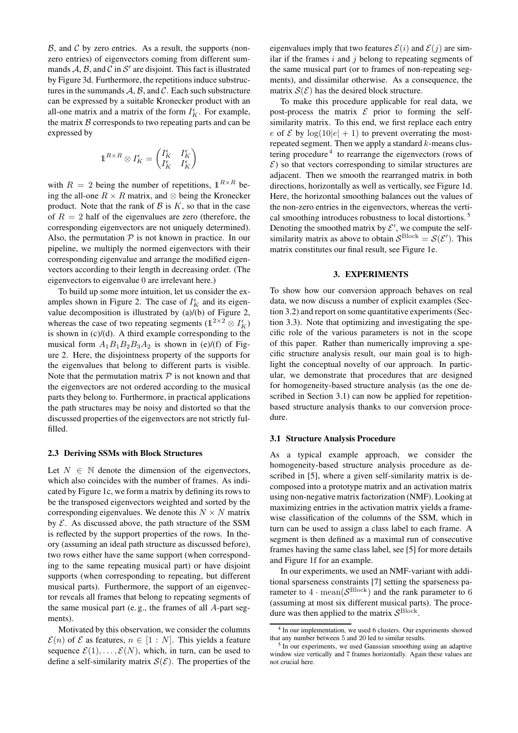$\beta$ , and  $\beta$  by zero entries. As a result, the supports (nonzero entries) of eigenvectors coming from different summands  $A$ ,  $B$ , and  $C$  in  $S'$  are disjoint. This fact is illustrated by Figure 3d. Furthermore, the repetitions induce substructures in the summands  $A, B$ , and  $C$ . Each such substructure can be expressed by a suitable Kronecker product with an all-one matrix and a matrix of the form  $I_K^{\epsilon}$ . For example, the matrix  $B$  corresponds to two repeating parts and can be expressed by

$$
\mathbb{1}^{R\times R}\otimes I_K^\epsilon=\begin{pmatrix}I_K^\epsilon&I_K^\epsilon\\I_K^\epsilon&I_K^\epsilon\end{pmatrix}
$$

with  $R = 2$  being the number of repetitions,  $1^{R \times R}$  being the all-one  $R \times R$  matrix, and ⊗ being the Kronecker product. Note that the rank of  $\beta$  is  $K$ , so that in the case of  $R = 2$  half of the eigenvalues are zero (therefore, the corresponding eigenvectors are not uniquely determined). Also, the permutation  $P$  is not known in practice. In our pipeline, we multiply the normed eigenvectors with their corresponding eigenvalue and arrange the modified eigenvectors according to their length in decreasing order. (The eigenvectors to eigenvalue 0 are irrelevant here.)

To build up some more intuition, let us consider the examples shown in Figure 2. The case of  $I_K^{\epsilon}$  and its eigenvalue decomposition is illustrated by (a)/(b) of Figure 2, whereas the case of two repeating segments ( $\mathbb{1}^{2 \times 2} \otimes I_K^{\epsilon}$ ) is shown in  $(c)/(d)$ . A third example corresponding to the musical form  $A_1B_1B_2B_3A_2$  is shown in (e)/(f) of Figure 2. Here, the disjointness property of the supports for the eigenvalues that belong to different parts is visible. Note that the permutation matrix  $P$  is not known and that the eigenvectors are not ordered according to the musical parts they belong to. Furthermore, in practical applications the path structures may be noisy and distorted so that the discussed properties of the eigenvectors are not strictly fulfilled.

#### **2.3 Deriving SSMs with Block Structures**

Let  $N \in \mathbb{N}$  denote the dimension of the eigenvectors, which also coincides with the number of frames. As indicated by Figure 1c, we form a matrix by defining its rows to be the transposed eigenvectors weighted and sorted by the corresponding eigenvalues. We denote this  $N \times N$  matrix by  $\mathcal E$ . As discussed above, the path structure of the SSM is reflected by the support properties of the rows. In theory (assuming an ideal path structure as discussed before), two rows either have the same support (when corresponding to the same repeating musical part) or have disjoint supports (when corresponding to repeating, but different musical parts). Furthermore, the support of an eigenvector reveals all frames that belong to repeating segments of the same musical part (e. g., the frames of all A-part segments).

Motivated by this observation, we consider the columns  $\mathcal{E}(n)$  of  $\mathcal E$  as features,  $n \in [1:N]$ . This yields a feature sequence  $\mathcal{E}(1), \ldots, \mathcal{E}(N)$ , which, in turn, can be used to define a self-similarity matrix  $\mathcal{S}(\mathcal{E})$ . The properties of the

eigenvalues imply that two features  $\mathcal{E}(i)$  and  $\mathcal{E}(j)$  are similar if the frames  $i$  and  $j$  belong to repeating segments of the same musical part (or to frames of non-repeating segments), and dissimilar otherwise. As a consequence, the matrix  $S(\mathcal{E})$  has the desired block structure.

To make this procedure applicable for real data, we post-process the matrix  $\mathcal E$  prior to forming the selfsimilarity matrix. To this end, we first replace each entry e of  $\mathcal E$  by  $\log(10|e| + 1)$  to prevent overrating the mostrepeated segment. Then we apply a standard  $k$ -means clustering procedure<sup>4</sup> to rearrange the eigenvectors (rows of  $\mathcal{E}$ ) so that vectors corresponding to similar structures are adjacent. Then we smooth the rearranged matrix in both directions, horizontally as well as vertically, see Figure 1d. Here, the horizontal smoothing balances out the values of the non-zero entries in the eigenvectors, whereas the vertical smoothing introduces robustness to local distortions. <sup>5</sup> Denoting the smoothed matrix by  $\mathcal{E}'$ , we compute the selfsimilarity matrix as above to obtain  $S^{\text{Block}} = S(\mathcal{E}')$ . This matrix constitutes our final result, see Figure 1e.

#### **3. EXPERIMENTS**

To show how our conversion approach behaves on real data, we now discuss a number of explicit examples (Section 3.2) and report on some quantitative experiments (Section 3.3). Note that optimizing and investigating the specific role of the various parameters is not in the scope of this paper. Rather than numerically improving a specific structure analysis result, our main goal is to highlight the conceptual novelty of our approach. In particular, we demonstrate that procedures that are designed for homogeneity-based structure analysis (as the one described in Section 3.1) can now be applied for repetitionbased structure analysis thanks to our conversion procedure.

#### **3.1 Structure Analysis Procedure**

As a typical example approach, we consider the homogeneity-based structure analysis procedure as described in [5], where a given self-similarity matrix is decomposed into a prototype matrix and an activation matrix using non-negative matrix factorization (NMF). Looking at maximizing entries in the activation matrix yields a framewise classification of the columns of the SSM, which in turn can be used to assign a class label to each frame. A segment is then defined as a maximal run of consecutive frames having the same class label, see [5] for more details and Figure 1f for an example.

In our experiments, we used an NMF-variant with additional sparseness constraints [7] setting the sparseness parameter to  $4 \cdot \text{mean}(\mathcal{S}^{\text{Block}})$  and the rank parameter to 6 (assuming at most six different musical parts). The procedure was then applied to the matrix  $\mathcal{S}^{\text{Block}}$ .

<sup>&</sup>lt;sup>4</sup> In our implementation, we used 6 clusters. Our experiments showed that any number between 5 and 20 led to similar results.

<sup>&</sup>lt;sup>5</sup> In our experiments, we used Gaussian smoothing using an adaptive window size vertically and 7 frames horizontally. Again these values are not crucial here.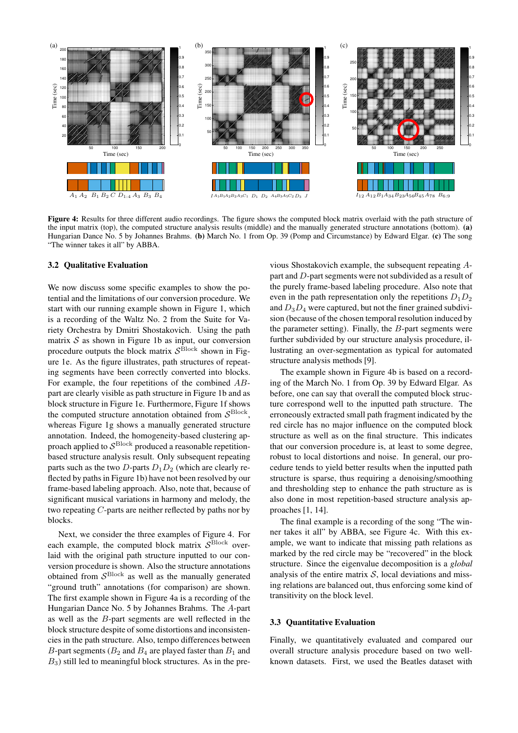

**Figure 4:** Results for three different audio recordings. The figure shows the computed block matrix overlaid with the path structure of the input matrix (top), the computed structure analysis results (middle) and the manually generated structure annotations (bottom). **(a)** Hungarian Dance No. 5 by Johannes Brahms. **(b)** March No. 1 from Op. 39 (Pomp and Circumstance) by Edward Elgar. **(c)** The song "The winner takes it all" by ABBA.

#### **3.2 Qualitative Evaluation**

We now discuss some specific examples to show the potential and the limitations of our conversion procedure. We start with our running example shown in Figure 1, which is a recording of the Waltz No. 2 from the Suite for Variety Orchestra by Dmitri Shostakovich. Using the path matrix  $S$  as shown in Figure 1b as input, our conversion procedure outputs the block matrix  $\mathcal{S}^{\text{Block}}$  shown in Figure 1e. As the figure illustrates, path structures of repeating segments have been correctly converted into blocks. For example, the four repetitions of the combined ABpart are clearly visible as path structure in Figure 1b and as block structure in Figure 1e. Furthermore, Figure 1f shows the computed structure annotation obtained from  $\mathcal{S}^{\text{Block}}$ , whereas Figure 1g shows a manually generated structure annotation. Indeed, the homogeneity-based clustering approach applied to  $\mathcal{S}^{\mathrm{Block}}$  produced a reasonable repetitionbased structure analysis result. Only subsequent repeating parts such as the two D-parts  $D_1D_2$  (which are clearly reflected by paths in Figure 1b) have not been resolved by our frame-based labeling approach. Also, note that, because of significant musical variations in harmony and melody, the two repeating C-parts are neither reflected by paths nor by blocks.

Next, we consider the three examples of Figure 4. For each example, the computed block matrix  $\mathcal{S}^{\text{Block}}$  overlaid with the original path structure inputted to our conversion procedure is shown. Also the structure annotations obtained from  $S<sup>Block</sup>$  as well as the manually generated "ground truth" annotations (for comparison) are shown. The first example shown in Figure 4a is a recording of the Hungarian Dance No. 5 by Johannes Brahms. The A-part as well as the B-part segments are well reflected in the block structure despite of some distortions and inconsistencies in the path structure. Also, tempo differences between B-part segments ( $B_2$  and  $B_4$  are played faster than  $B_1$  and  $B_3$ ) still led to meaningful block structures. As in the previous Shostakovich example, the subsequent repeating Apart and D-part segments were not subdivided as a result of the purely frame-based labeling procedure. Also note that even in the path representation only the repetitions  $D_1D_2$ and  $D_3D_4$  were captured, but not the finer grained subdivision (because of the chosen temporal resolution induced by the parameter setting). Finally, the B-part segments were further subdivided by our structure analysis procedure, illustrating an over-segmentation as typical for automated structure analysis methods [9].

The example shown in Figure 4b is based on a recording of the March No. 1 from Op. 39 by Edward Elgar. As before, one can say that overall the computed block structure correspond well to the inputted path structure. The erroneously extracted small path fragment indicated by the red circle has no major influence on the computed block structure as well as on the final structure. This indicates that our conversion procedure is, at least to some degree, robust to local distortions and noise. In general, our procedure tends to yield better results when the inputted path structure is sparse, thus requiring a denoising/smoothing and thresholding step to enhance the path structure as is also done in most repetition-based structure analysis approaches [1, 14].

The final example is a recording of the song "The winner takes it all" by ABBA, see Figure 4c. With this example, we want to indicate that missing path relations as marked by the red circle may be "recovered" in the block structure. Since the eigenvalue decomposition is a *global* analysis of the entire matrix  $S$ , local deviations and missing relations are balanced out, thus enforcing some kind of transitivity on the block level.

#### **3.3 Quantitative Evaluation**

Finally, we quantitatively evaluated and compared our overall structure analysis procedure based on two wellknown datasets. First, we used the Beatles dataset with